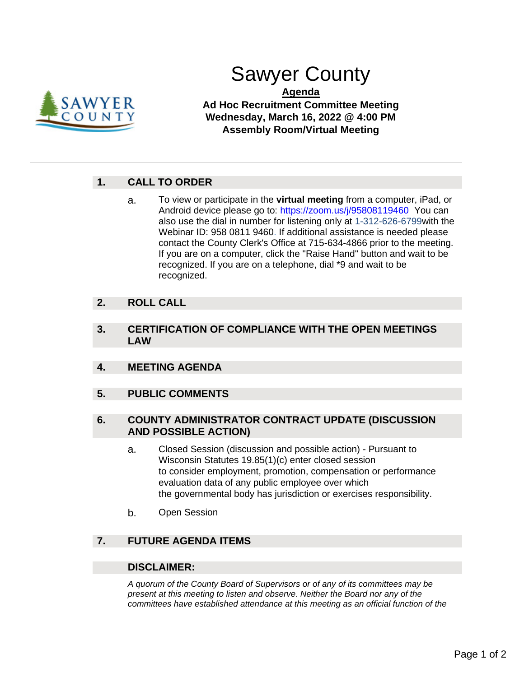

# Sawyer County

**Agenda Ad Hoc Recruitment Committee Meeting Wednesday, March 16, 2022 @ 4:00 PM Assembly Room/Virtual Meeting**

# **1. CALL TO ORDER**

a. To view or participate in the **virtual meeting** from a computer, iPad, or Android device please go to: [https://zoom.us/j/95808119460](https://us02web.zoom.us/j/83970250533?pwd=RG9ZUy9vWWNOcFI5T2pCOEJzMjR0QT09) You can also use the dial in number for listening only at 1-312-626-6799with the Webinar ID: 958 0811 9460. If additional assistance is needed please contact the County Clerk's Office at 715-634-4866 prior to the meeting. If you are on a computer, click the "Raise Hand" button and wait to be recognized. If you are on a telephone, dial \*9 and wait to be recognized.

## **2. ROLL CALL**

- **3. CERTIFICATION OF COMPLIANCE WITH THE OPEN MEETINGS LAW**
- **4. MEETING AGENDA**
- **5. PUBLIC COMMENTS**

#### **6. COUNTY ADMINISTRATOR CONTRACT UPDATE (DISCUSSION AND POSSIBLE ACTION)**

- a. Closed Session (discussion and possible action) Pursuant to Wisconsin Statutes 19.85(1)(c) enter closed session to consider employment, promotion, compensation or performance evaluation data of any public employee over which the governmental body has jurisdiction or exercises responsibility.
- b. Open Session

## **7. FUTURE AGENDA ITEMS**

### **DISCLAIMER:**

*A quorum of the County Board of Supervisors or of any of its committees may be present at this meeting to listen and observe. Neither the Board nor any of the committees have established attendance at this meeting as an official function of the*